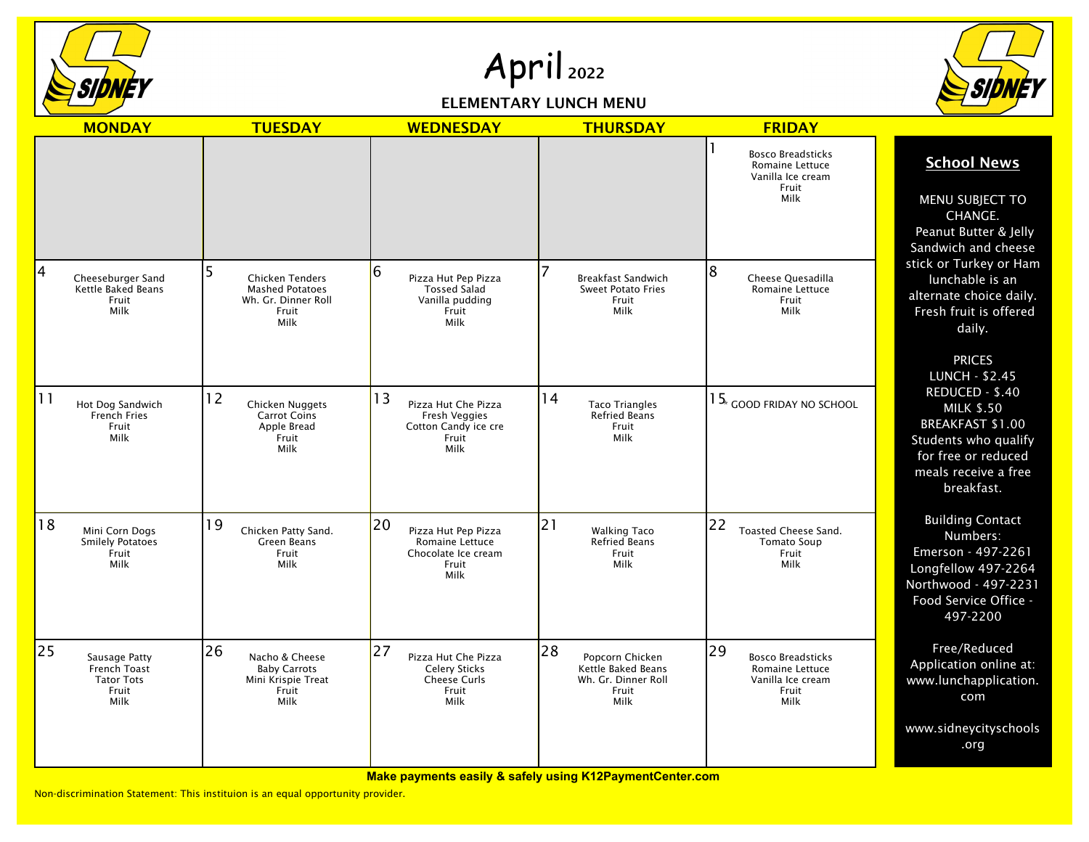

## April 2022

## ELEMENTARY LUNCH MENU



|    | <b>MONDAY</b>                                                       | <b>TUESDAY</b>                                                                           | <b>WEDNESDAY</b>                                                                            | <b>THURSDAY</b>                                                                     | <b>FRIDAY</b>                                                                           |                                                                                                                                                    |
|----|---------------------------------------------------------------------|------------------------------------------------------------------------------------------|---------------------------------------------------------------------------------------------|-------------------------------------------------------------------------------------|-----------------------------------------------------------------------------------------|----------------------------------------------------------------------------------------------------------------------------------------------------|
|    |                                                                     |                                                                                          |                                                                                             |                                                                                     | <b>Bosco Breadsticks</b><br>Romaine Lettuce<br>Vanilla Ice cream<br>Fruit<br>Milk       | <b>School News</b><br>MENU SUBJECT TO<br>CHANGE.<br>Peanut Butter & Jelly<br>Sandwich and cheese                                                   |
| 4  | Cheeseburger Sand<br>Kettle Baked Beans<br>Fruit<br>Milk            | <b>Chicken Tenders</b><br><b>Mashed Potatoes</b><br>Wh. Gr. Dinner Roll<br>Fruit<br>Milk | 6<br>Pizza Hut Pep Pizza<br><b>Tossed Salad</b><br>Vanilla pudding<br>Fruit<br>Milk         | <b>Breakfast Sandwich</b><br><b>Sweet Potato Fries</b><br>Fruit<br>Milk             | 8<br>Cheese Quesadilla<br>Romaine Lettuce<br>Fruit<br>Milk                              | stick or Turkey or Ham<br>lunchable is an<br>alternate choice daily.<br>Fresh fruit is offered<br>daily.<br><b>PRICES</b><br><b>LUNCH - \$2.45</b> |
| 11 | Hot Dog Sandwich<br>French Fries<br>Fruit<br>Milk                   | 12<br>Chicken Nuggets<br><b>Carrot Coins</b><br>Apple Bread<br>Fruit<br>Milk             | 13<br>Pizza Hut Che Pizza<br>Fresh Veggies<br>Cotton Candy ice cre<br>Fruit<br>Milk         | 14<br><b>Taco Triangles</b><br><b>Refried Beans</b><br>Fruit<br>Milk                | $15*$ good friday no school                                                             | REDUCED - \$.40<br><b>MILK \$.50</b><br>BREAKFAST \$1.00<br>Students who qualify<br>for free or reduced<br>meals receive a free<br>breakfast.      |
| 18 | Mini Corn Dogs<br><b>Smilely Potatoes</b><br>Fruit<br>Milk          | 19<br>Chicken Patty Sand.<br>Green Beans<br>Fruit<br>Milk                                | 20<br>Pizza Hut Pep Pizza<br><b>Romaine Lettuce</b><br>Chocolate Ice cream<br>Fruit<br>Milk | 21<br><b>Walking Taco</b><br><b>Refried Beans</b><br>Fruit<br>Milk                  | 22<br>Toasted Cheese Sand.<br><b>Tomato Soup</b><br>Fruit<br>Milk                       | <b>Building Contact</b><br>Numbers:<br>Emerson - 497-2261<br>Longfellow 497-2264<br>Northwood - 497-2231<br>Food Service Office -<br>497-2200      |
| 25 | Sausage Patty<br>French Toast<br><b>Tator Tots</b><br>Fruit<br>Milk | 26<br>Nacho & Cheese<br><b>Baby Carrots</b><br>Mini Krispie Treat<br>Fruit<br>Milk       | 27<br>Pizza Hut Che Pizza<br><b>Celery Sticks</b><br>Cheese Curls<br>Fruit<br>Milk          | 28<br>Popcorn Chicken<br>Kettle Baked Beans<br>Wh. Gr. Dinner Roll<br>Fruit<br>Milk | 29<br><b>Bosco Breadsticks</b><br>Romaine Lettuce<br>Vanilla Ice cream<br>Fruit<br>Milk | Free/Reduced<br>Application online at:<br>www.lunchapplication.<br>com                                                                             |
|    |                                                                     |                                                                                          |                                                                                             |                                                                                     |                                                                                         | www.sidneycityschools<br>.org                                                                                                                      |

**Make payments easily & safely using K12PaymentCenter.com**

Non-discrimination Statement: This instituion is an equal opportunity provider.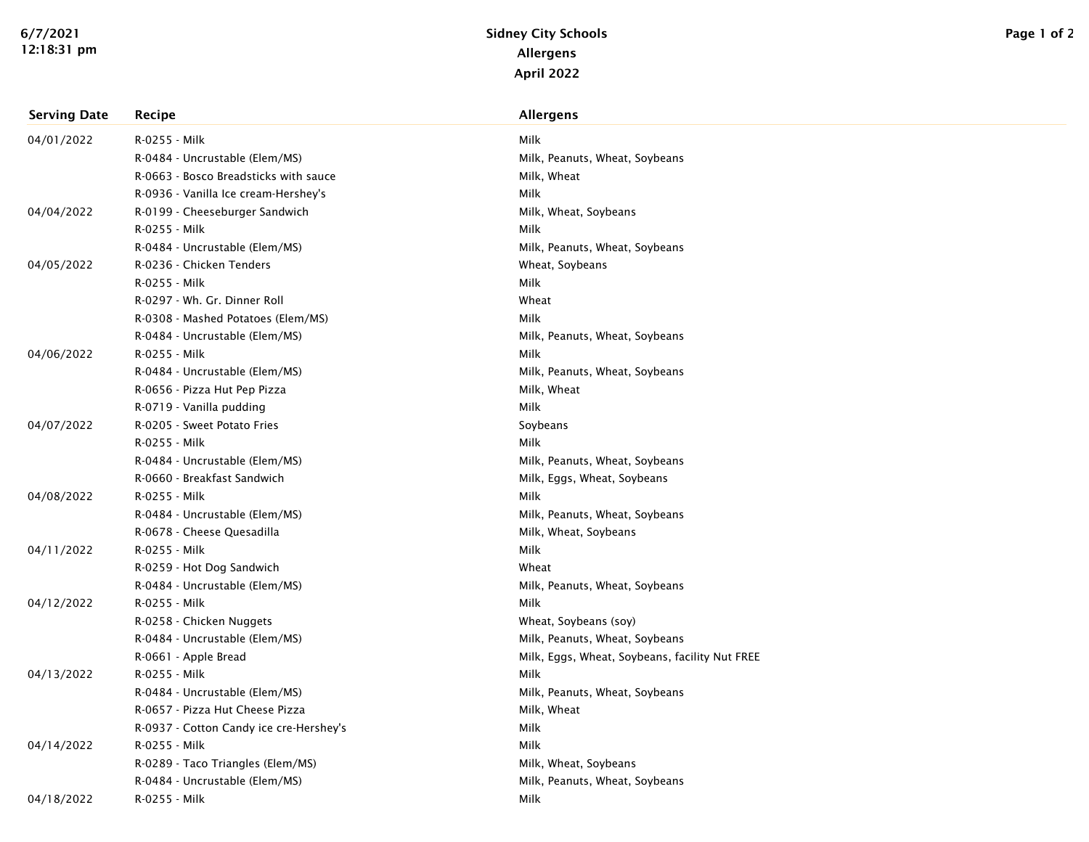| <b>Serving Date</b> | Recipe                                  | <b>Allergens</b>                               |
|---------------------|-----------------------------------------|------------------------------------------------|
| 04/01/2022          | R-0255 - Milk                           | Milk                                           |
|                     | R-0484 - Uncrustable (Elem/MS)          | Milk, Peanuts, Wheat, Soybeans                 |
|                     | R-0663 - Bosco Breadsticks with sauce   | Milk, Wheat                                    |
|                     | R-0936 - Vanilla Ice cream-Hershey's    | Milk                                           |
| 04/04/2022          | R-0199 - Cheeseburger Sandwich          | Milk, Wheat, Soybeans                          |
|                     | R-0255 - Milk                           | Milk                                           |
|                     | R-0484 - Uncrustable (Elem/MS)          | Milk, Peanuts, Wheat, Soybeans                 |
| 04/05/2022          | R-0236 - Chicken Tenders                | Wheat, Soybeans                                |
|                     | R-0255 - Milk                           | Milk                                           |
|                     | R-0297 - Wh. Gr. Dinner Roll            | Wheat                                          |
|                     | R-0308 - Mashed Potatoes (Elem/MS)      | Milk                                           |
|                     | R-0484 - Uncrustable (Elem/MS)          | Milk, Peanuts, Wheat, Soybeans                 |
| 04/06/2022          | R-0255 - Milk                           | Milk                                           |
|                     | R-0484 - Uncrustable (Elem/MS)          | Milk, Peanuts, Wheat, Soybeans                 |
|                     | R-0656 - Pizza Hut Pep Pizza            | Milk, Wheat                                    |
|                     | R-0719 - Vanilla pudding                | Milk                                           |
| 04/07/2022          | R-0205 - Sweet Potato Fries             | Soybeans                                       |
|                     | R-0255 - Milk                           | Milk                                           |
|                     | R-0484 - Uncrustable (Elem/MS)          | Milk, Peanuts, Wheat, Soybeans                 |
|                     | R-0660 - Breakfast Sandwich             | Milk, Eggs, Wheat, Soybeans                    |
| 04/08/2022          | R-0255 - Milk                           | Milk                                           |
|                     | R-0484 - Uncrustable (Elem/MS)          | Milk, Peanuts, Wheat, Soybeans                 |
|                     | R-0678 - Cheese Quesadilla              | Milk, Wheat, Soybeans                          |
| 04/11/2022          | R-0255 - Milk                           | Milk                                           |
|                     | R-0259 - Hot Dog Sandwich               | Wheat                                          |
|                     | R-0484 - Uncrustable (Elem/MS)          | Milk, Peanuts, Wheat, Soybeans                 |
| 04/12/2022          | R-0255 - Milk                           | Milk                                           |
|                     | R-0258 - Chicken Nuggets                | Wheat, Soybeans (soy)                          |
|                     | R-0484 - Uncrustable (Elem/MS)          | Milk, Peanuts, Wheat, Soybeans                 |
|                     | R-0661 - Apple Bread                    | Milk, Eggs, Wheat, Soybeans, facility Nut FREE |
| 04/13/2022          | R-0255 - Milk                           | Milk                                           |
|                     | R-0484 - Uncrustable (Elem/MS)          | Milk, Peanuts, Wheat, Soybeans                 |
|                     | R-0657 - Pizza Hut Cheese Pizza         | Milk, Wheat                                    |
|                     | R-0937 - Cotton Candy ice cre-Hershey's | Milk                                           |
| 04/14/2022          | R-0255 - Milk                           | Milk                                           |
|                     | R-0289 - Taco Triangles (Elem/MS)       | Milk, Wheat, Soybeans                          |
|                     | R-0484 - Uncrustable (Elem/MS)          | Milk, Peanuts, Wheat, Soybeans                 |
| 04/18/2022          | R-0255 - Milk                           | Milk                                           |